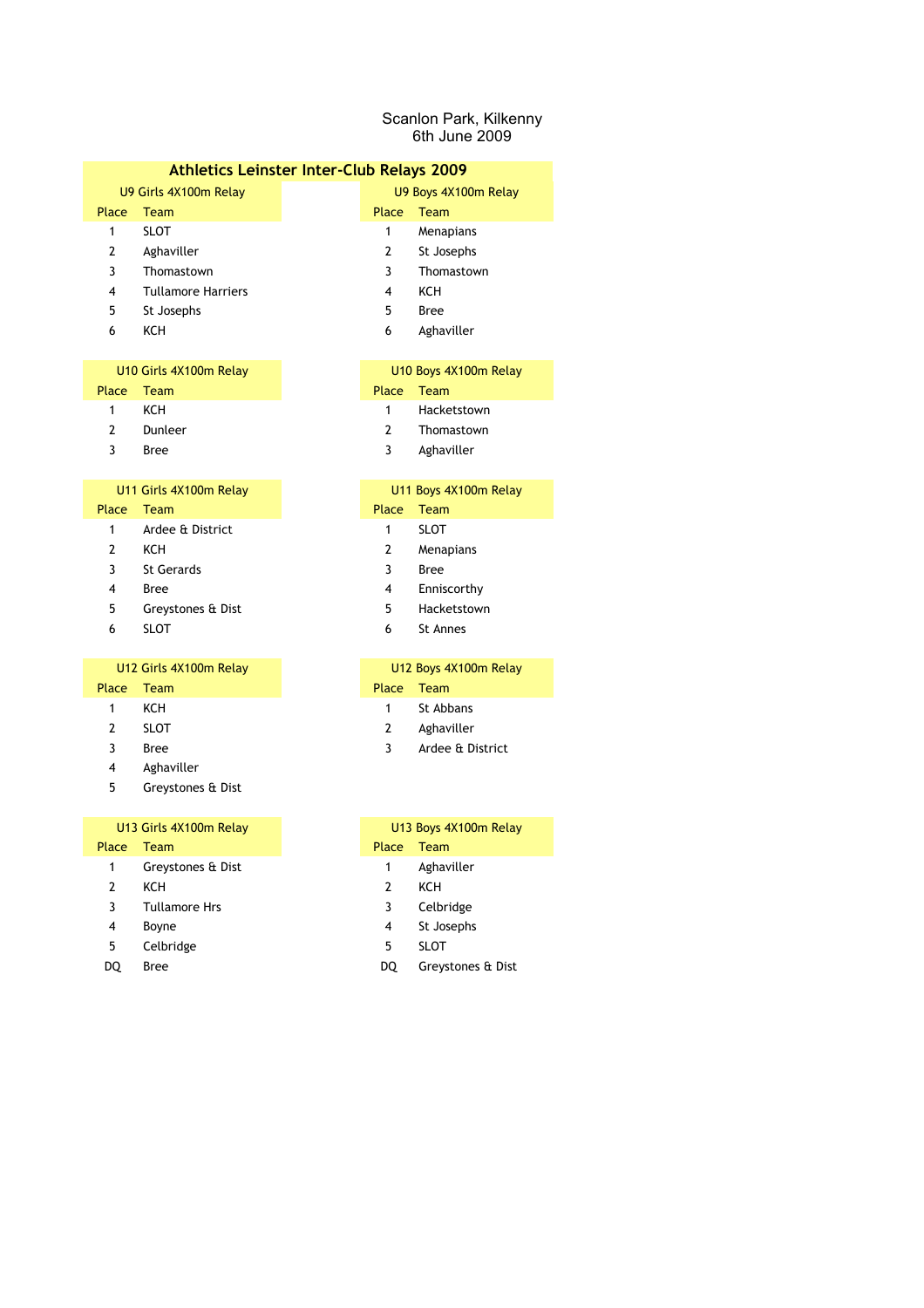### Scanlon Park, Kilkenny 6th June 2009

## **Athletics Leinster Inter-Club Relays 2009**

|                       | AUROUGS ECHISCOT INCOL CIUD ROIUVS 2007 |                      |             |  |
|-----------------------|-----------------------------------------|----------------------|-------------|--|
| U9 Girls 4X100m Relay |                                         | U9 Boys 4X100m Relay |             |  |
| Place                 | <b>Team</b>                             | Place                | Team        |  |
| 1                     | SLOT                                    |                      | Menapians   |  |
| 2                     | Aghaviller                              | 2                    | St Josephs  |  |
| 3                     | Thomastown                              | 3                    | Thomastown  |  |
| 4                     | <b>Tullamore Harriers</b>               | 4                    | KCH         |  |
| 5                     | St Josephs                              | 5                    | <b>Bree</b> |  |

6 KCH 6 Aghaviller

- 
- 
- 

# U11 Girls 4X100m Relay Place Team

- 1 Ardee & District
- 
- 3 St Gerards 3 Bree
- 
- 5 Greystones & Dist 6 1991 1 5 Hacketstown
- 

### U12 Girls 4X100m Relay Place Team

- 
- 
- 
- 4 Aghaviller
- 
- 5 Greystones & Dist

## U13 Girls 4X100m Relay

#### Place Team

- 1 Greystones & Dist
- 
- 3 Tullamore Hrs
- 4 Boyne
- 5 Celbridge
- 

### U10 Girls 4X100m Relay U10 Boys 4X100m Relay **Place Team Place Team** 1 KCH 1 Hacketstown 2 Dunleer 2 Thomastown

3 Bree 3 Aghaviller

| U11 Boys 4X100m Relay |       |  |  |
|-----------------------|-------|--|--|
| Place Team            |       |  |  |
| 1                     | SI OT |  |  |

- 2 KCH 2 Menapians
	-
- 4 Bree 4 Enniscorthy
	-
- 6 SLOT 6 St Annes

| U12 Girls 4X100m Relay |             | U12 Boys 4X100m Relay |                  |
|------------------------|-------------|-----------------------|------------------|
| ace                    | Team        | Place Team            |                  |
| 1                      | KCH         |                       | St Abbans        |
|                        | <b>SLOT</b> |                       | Aghaviller       |
|                        | Bree        | 3                     | Ardee & District |

| U13 Girls 4X100m Relay |                      | U13 Boys 4X100m Relay |                   |
|------------------------|----------------------|-----------------------|-------------------|
| lace                   | Team                 | Place                 | Team              |
| 1                      | Greystones & Dist    |                       | Aghaviller        |
| 2                      | KCH                  | 2                     | KCH               |
| 3                      | <b>Tullamore Hrs</b> | 3                     | Celbridge         |
| 4                      | Boyne                | 4                     | St Josephs        |
| 5                      | Celbridge            | 5                     | <b>SLOT</b>       |
| DO                     | Bree                 | DO                    | Greystones & Dist |
|                        |                      |                       |                   |